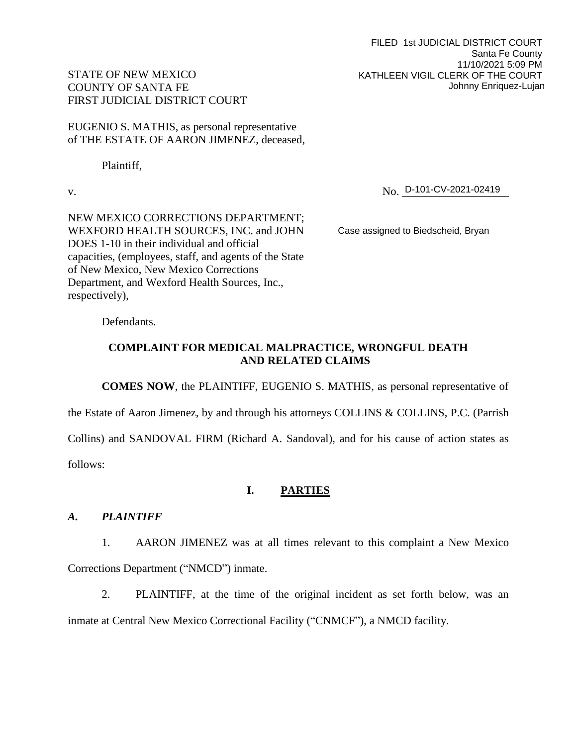FILED 1st JUDICIAL DISTRICT COURT Santa Fe County 11/10/2021 5:09 PM KATHLEEN VIGIL CLERK OF THE COURT Johnny Enriquez-Lujan

# STATE OF NEW MEXICO COUNTY OF SANTA FE FIRST JUDICIAL DISTRICT COURT

EUGENIO S. MATHIS, as personal representative of THE ESTATE OF AARON JIMENEZ, deceased,

Plaintiff,

v. No. No. D-101-CV-2021-02419

NEW MEXICO CORRECTIONS DEPARTMENT; WEXFORD HEALTH SOURCES, INC. and JOHN DOES 1-10 in their individual and official capacities, (employees, staff, and agents of the State of New Mexico, New Mexico Corrections Department, and Wexford Health Sources, Inc., respectively),

Case assigned to Biedscheid, Bryan

Defendants.

# **COMPLAINT FOR MEDICAL MALPRACTICE, WRONGFUL DEATH AND RELATED CLAIMS**

**COMES NOW**, the PLAINTIFF, EUGENIO S. MATHIS, as personal representative of

the Estate of Aaron Jimenez, by and through his attorneys COLLINS & COLLINS, P.C. (Parrish

Collins) and SANDOVAL FIRM (Richard A. Sandoval), and for his cause of action states as

follows:

# **I. PARTIES**

# *A. PLAINTIFF*

1. AARON JIMENEZ was at all times relevant to this complaint a New Mexico Corrections Department ("NMCD") inmate.

2. PLAINTIFF, at the time of the original incident as set forth below, was an inmate at Central New Mexico Correctional Facility ("CNMCF"), a NMCD facility.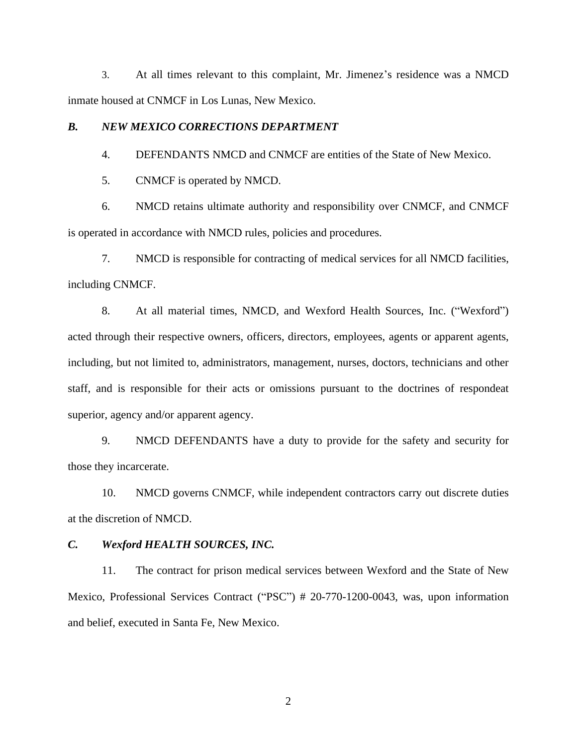3. At all times relevant to this complaint, Mr. Jimenez's residence was a NMCD inmate housed at CNMCF in Los Lunas, New Mexico.

### *B. NEW MEXICO CORRECTIONS DEPARTMENT*

4. DEFENDANTS NMCD and CNMCF are entities of the State of New Mexico.

5. CNMCF is operated by NMCD.

6. NMCD retains ultimate authority and responsibility over CNMCF, and CNMCF is operated in accordance with NMCD rules, policies and procedures.

7. NMCD is responsible for contracting of medical services for all NMCD facilities, including CNMCF.

8. At all material times, NMCD, and Wexford Health Sources, Inc. ("Wexford") acted through their respective owners, officers, directors, employees, agents or apparent agents, including, but not limited to, administrators, management, nurses, doctors, technicians and other staff, and is responsible for their acts or omissions pursuant to the doctrines of respondeat superior, agency and/or apparent agency.

9. NMCD DEFENDANTS have a duty to provide for the safety and security for those they incarcerate.

10. NMCD governs CNMCF, while independent contractors carry out discrete duties at the discretion of NMCD.

#### *C. Wexford HEALTH SOURCES, INC.*

11. The contract for prison medical services between Wexford and the State of New Mexico, Professional Services Contract ("PSC") # 20-770-1200-0043, was, upon information and belief, executed in Santa Fe, New Mexico.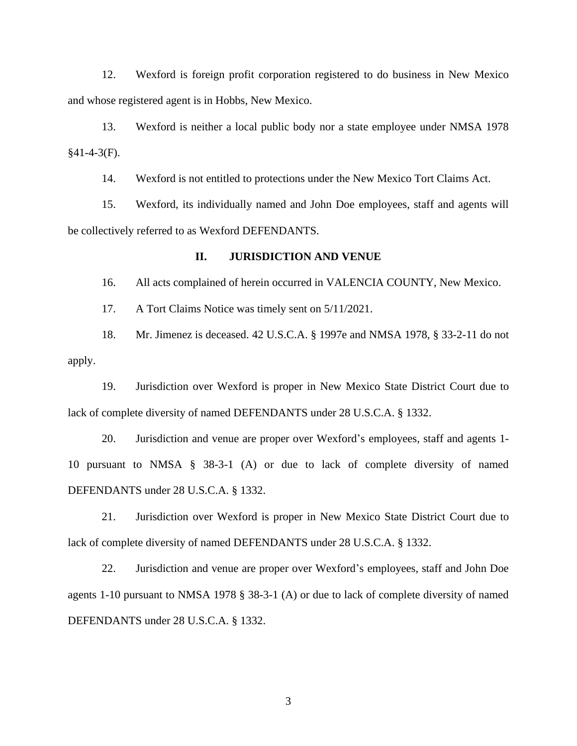12. Wexford is foreign profit corporation registered to do business in New Mexico and whose registered agent is in Hobbs, New Mexico.

13. Wexford is neither a local public body nor a state employee under NMSA 1978 §41-4-3(F).

14. Wexford is not entitled to protections under the New Mexico Tort Claims Act.

15. Wexford, its individually named and John Doe employees, staff and agents will be collectively referred to as Wexford DEFENDANTS.

#### **II. JURISDICTION AND VENUE**

16. All acts complained of herein occurred in VALENCIA COUNTY, New Mexico.

17. A Tort Claims Notice was timely sent on 5/11/2021.

18. Mr. Jimenez is deceased. 42 U.S.C.A. § 1997e and NMSA 1978, § 33-2-11 do not apply.

19. Jurisdiction over Wexford is proper in New Mexico State District Court due to lack of complete diversity of named DEFENDANTS under 28 U.S.C.A. § 1332.

20. Jurisdiction and venue are proper over Wexford's employees, staff and agents 1- 10 pursuant to NMSA § 38-3-1 (A) or due to lack of complete diversity of named DEFENDANTS under 28 U.S.C.A. § 1332.

21. Jurisdiction over Wexford is proper in New Mexico State District Court due to lack of complete diversity of named DEFENDANTS under 28 U.S.C.A. § 1332.

22. Jurisdiction and venue are proper over Wexford's employees, staff and John Doe agents 1-10 pursuant to NMSA 1978 § 38-3-1 (A) or due to lack of complete diversity of named DEFENDANTS under 28 U.S.C.A. § 1332.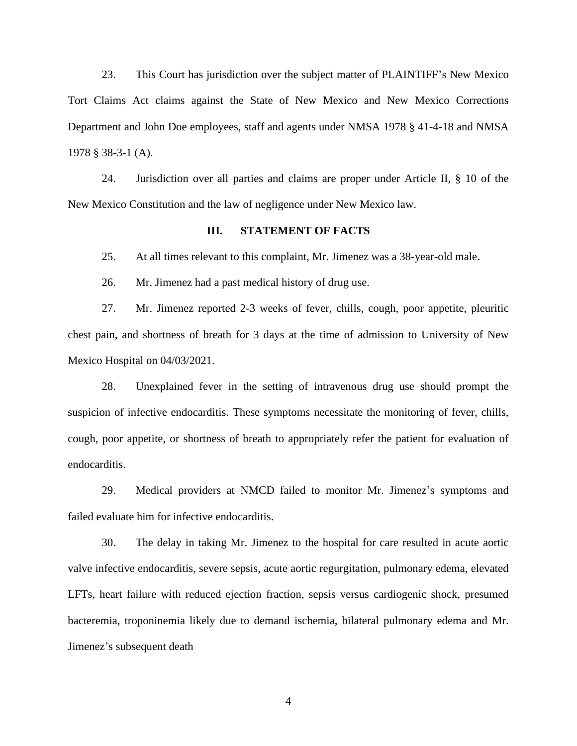23. This Court has jurisdiction over the subject matter of PLAINTIFF's New Mexico Tort Claims Act claims against the State of New Mexico and New Mexico Corrections Department and John Doe employees, staff and agents under NMSA 1978 § 41-4-18 and NMSA 1978 § 38-3-1 (A).

24. Jurisdiction over all parties and claims are proper under Article II, § 10 of the New Mexico Constitution and the law of negligence under New Mexico law.

#### **III. STATEMENT OF FACTS**

25. At all times relevant to this complaint, Mr. Jimenez was a 38-year-old male.

26. Mr. Jimenez had a past medical history of drug use.

27. Mr. Jimenez reported 2-3 weeks of fever, chills, cough, poor appetite, pleuritic chest pain, and shortness of breath for 3 days at the time of admission to University of New Mexico Hospital on 04/03/2021.

28. Unexplained fever in the setting of intravenous drug use should prompt the suspicion of infective endocarditis. These symptoms necessitate the monitoring of fever, chills, cough, poor appetite, or shortness of breath to appropriately refer the patient for evaluation of endocarditis.

29. Medical providers at NMCD failed to monitor Mr. Jimenez's symptoms and failed evaluate him for infective endocarditis.

30. The delay in taking Mr. Jimenez to the hospital for care resulted in acute aortic valve infective endocarditis, severe sepsis, acute aortic regurgitation, pulmonary edema, elevated LFTs, heart failure with reduced ejection fraction, sepsis versus cardiogenic shock, presumed bacteremia, troponinemia likely due to demand ischemia, bilateral pulmonary edema and Mr. Jimenez's subsequent death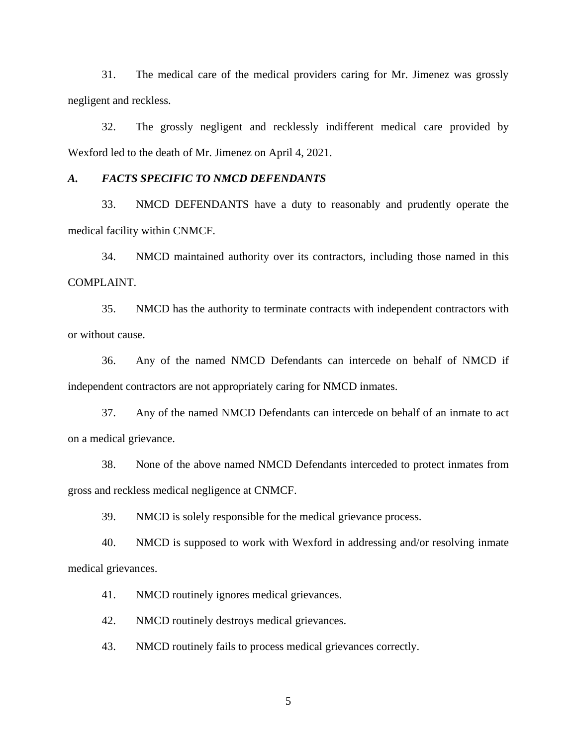31. The medical care of the medical providers caring for Mr. Jimenez was grossly negligent and reckless.

32. The grossly negligent and recklessly indifferent medical care provided by Wexford led to the death of Mr. Jimenez on April 4, 2021.

### *A. FACTS SPECIFIC TO NMCD DEFENDANTS*

33. NMCD DEFENDANTS have a duty to reasonably and prudently operate the medical facility within CNMCF.

34. NMCD maintained authority over its contractors, including those named in this COMPLAINT.

35. NMCD has the authority to terminate contracts with independent contractors with or without cause.

36. Any of the named NMCD Defendants can intercede on behalf of NMCD if independent contractors are not appropriately caring for NMCD inmates.

37. Any of the named NMCD Defendants can intercede on behalf of an inmate to act on a medical grievance.

38. None of the above named NMCD Defendants interceded to protect inmates from gross and reckless medical negligence at CNMCF.

39. NMCD is solely responsible for the medical grievance process.

40. NMCD is supposed to work with Wexford in addressing and/or resolving inmate medical grievances.

41. NMCD routinely ignores medical grievances.

42. NMCD routinely destroys medical grievances.

43. NMCD routinely fails to process medical grievances correctly.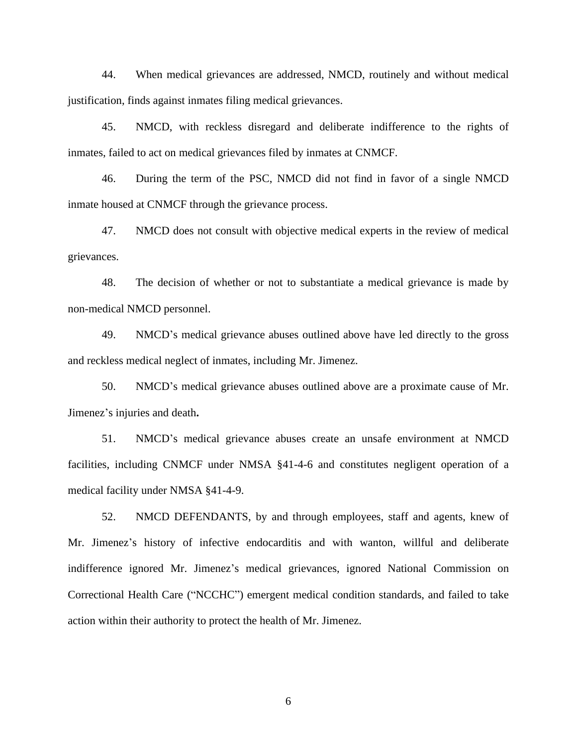44. When medical grievances are addressed, NMCD, routinely and without medical justification, finds against inmates filing medical grievances.

45. NMCD, with reckless disregard and deliberate indifference to the rights of inmates, failed to act on medical grievances filed by inmates at CNMCF.

46. During the term of the PSC, NMCD did not find in favor of a single NMCD inmate housed at CNMCF through the grievance process.

47. NMCD does not consult with objective medical experts in the review of medical grievances.

48. The decision of whether or not to substantiate a medical grievance is made by non-medical NMCD personnel.

49. NMCD's medical grievance abuses outlined above have led directly to the gross and reckless medical neglect of inmates, including Mr. Jimenez.

50. NMCD's medical grievance abuses outlined above are a proximate cause of Mr. Jimenez's injuries and death**.**

51. NMCD's medical grievance abuses create an unsafe environment at NMCD facilities, including CNMCF under NMSA §41-4-6 and constitutes negligent operation of a medical facility under NMSA §41-4-9.

52. NMCD DEFENDANTS, by and through employees, staff and agents, knew of Mr. Jimenez's history of infective endocarditis and with wanton, willful and deliberate indifference ignored Mr. Jimenez's medical grievances, ignored National Commission on Correctional Health Care ("NCCHC") emergent medical condition standards, and failed to take action within their authority to protect the health of Mr. Jimenez.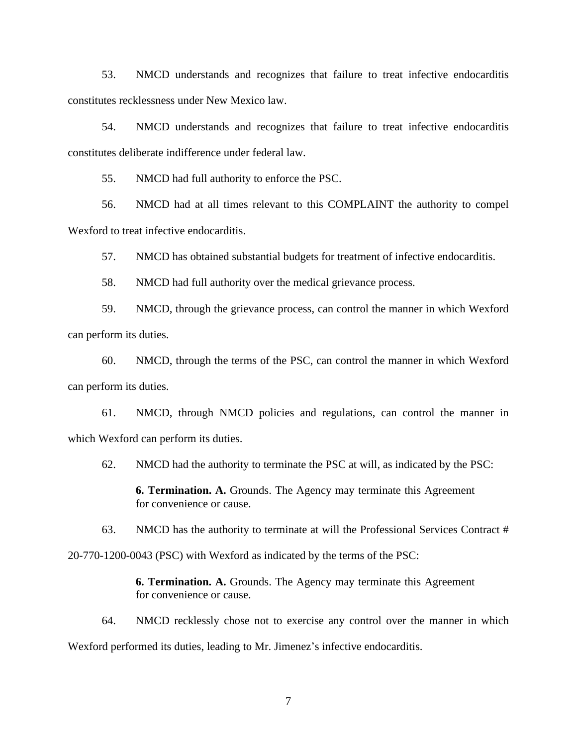53. NMCD understands and recognizes that failure to treat infective endocarditis constitutes recklessness under New Mexico law.

54. NMCD understands and recognizes that failure to treat infective endocarditis constitutes deliberate indifference under federal law.

55. NMCD had full authority to enforce the PSC.

56. NMCD had at all times relevant to this COMPLAINT the authority to compel Wexford to treat infective endocarditis.

57. NMCD has obtained substantial budgets for treatment of infective endocarditis.

58. NMCD had full authority over the medical grievance process.

59. NMCD, through the grievance process, can control the manner in which Wexford can perform its duties.

60. NMCD, through the terms of the PSC, can control the manner in which Wexford can perform its duties.

61. NMCD, through NMCD policies and regulations, can control the manner in which Wexford can perform its duties.

62. NMCD had the authority to terminate the PSC at will, as indicated by the PSC:

**6. Termination. A.** Grounds. The Agency may terminate this Agreement for convenience or cause.

63. NMCD has the authority to terminate at will the Professional Services Contract #

20-770-1200-0043 (PSC) with Wexford as indicated by the terms of the PSC:

**6. Termination. A.** Grounds. The Agency may terminate this Agreement for convenience or cause.

64. NMCD recklessly chose not to exercise any control over the manner in which Wexford performed its duties, leading to Mr. Jimenez's infective endocarditis.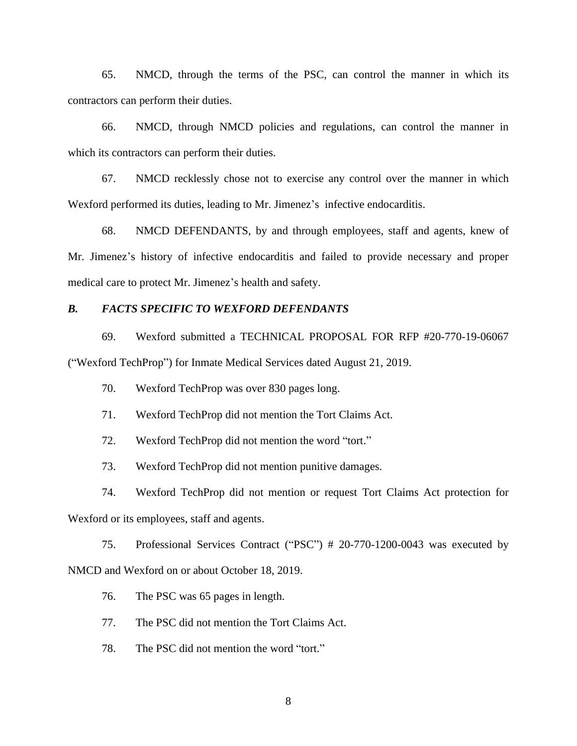65. NMCD, through the terms of the PSC, can control the manner in which its contractors can perform their duties.

66. NMCD, through NMCD policies and regulations, can control the manner in which its contractors can perform their duties.

67. NMCD recklessly chose not to exercise any control over the manner in which Wexford performed its duties, leading to Mr. Jimenez's infective endocarditis.

68. NMCD DEFENDANTS, by and through employees, staff and agents, knew of Mr. Jimenez's history of infective endocarditis and failed to provide necessary and proper medical care to protect Mr. Jimenez's health and safety.

#### *B. FACTS SPECIFIC TO WEXFORD DEFENDANTS*

69. Wexford submitted a TECHNICAL PROPOSAL FOR RFP #20-770-19-06067 ("Wexford TechProp") for Inmate Medical Services dated August 21, 2019.

- 70. Wexford TechProp was over 830 pages long.
- 71. Wexford TechProp did not mention the Tort Claims Act.
- 72. Wexford TechProp did not mention the word "tort."
- 73. Wexford TechProp did not mention punitive damages.
- 74. Wexford TechProp did not mention or request Tort Claims Act protection for

Wexford or its employees, staff and agents.

75. Professional Services Contract ("PSC") # 20-770-1200-0043 was executed by NMCD and Wexford on or about October 18, 2019.

- 76. The PSC was 65 pages in length.
- 77. The PSC did not mention the Tort Claims Act.
- 78. The PSC did not mention the word "tort."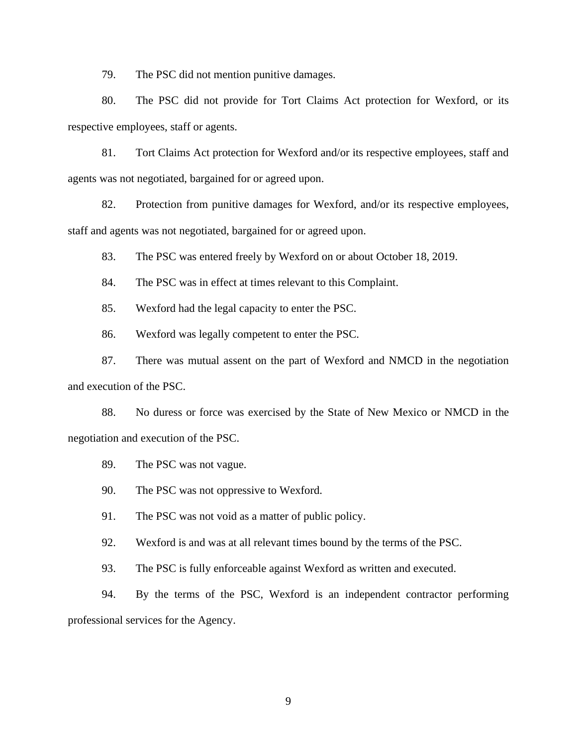79. The PSC did not mention punitive damages.

80. The PSC did not provide for Tort Claims Act protection for Wexford, or its respective employees, staff or agents.

81. Tort Claims Act protection for Wexford and/or its respective employees, staff and agents was not negotiated, bargained for or agreed upon.

82. Protection from punitive damages for Wexford, and/or its respective employees, staff and agents was not negotiated, bargained for or agreed upon.

83. The PSC was entered freely by Wexford on or about October 18, 2019.

84. The PSC was in effect at times relevant to this Complaint.

85. Wexford had the legal capacity to enter the PSC.

86. Wexford was legally competent to enter the PSC.

87. There was mutual assent on the part of Wexford and NMCD in the negotiation and execution of the PSC.

88. No duress or force was exercised by the State of New Mexico or NMCD in the negotiation and execution of the PSC.

89. The PSC was not vague.

90. The PSC was not oppressive to Wexford.

91. The PSC was not void as a matter of public policy.

92. Wexford is and was at all relevant times bound by the terms of the PSC.

93. The PSC is fully enforceable against Wexford as written and executed.

94. By the terms of the PSC, Wexford is an independent contractor performing professional services for the Agency.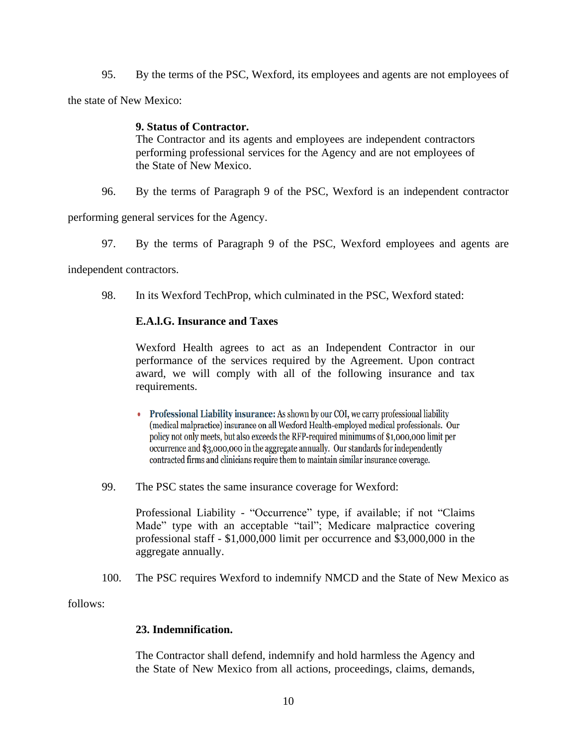95. By the terms of the PSC, Wexford, its employees and agents are not employees of

the state of New Mexico:

# **9. Status of Contractor.**

The Contractor and its agents and employees are independent contractors performing professional services for the Agency and are not employees of the State of New Mexico.

96. By the terms of Paragraph 9 of the PSC, Wexford is an independent contractor

performing general services for the Agency.

97. By the terms of Paragraph 9 of the PSC, Wexford employees and agents are

independent contractors.

98. In its Wexford TechProp, which culminated in the PSC, Wexford stated:

# **E.A.l.G. Insurance and Taxes**

Wexford Health agrees to act as an Independent Contractor in our performance of the services required by the Agreement. Upon contract award, we will comply with all of the following insurance and tax requirements.

- Professional Liability insurance: As shown by our COI, we carry professional liability (medical malpractice) insurance on all Wexford Health-employed medical professionals. Our policy not only meets, but also exceeds the RFP-required minimums of \$1,000,000 limit per occurrence and \$3,000,000 in the aggregate annually. Our standards for independently contracted firms and clinicians require them to maintain similar insurance coverage.
- 99. The PSC states the same insurance coverage for Wexford:

Professional Liability - "Occurrence" type, if available; if not "Claims Made" type with an acceptable "tail"; Medicare malpractice covering professional staff - \$1,000,000 limit per occurrence and \$3,000,000 in the aggregate annually.

100. The PSC requires Wexford to indemnify NMCD and the State of New Mexico as

follows:

# **23. Indemnification.**

The Contractor shall defend, indemnify and hold harmless the Agency and the State of New Mexico from all actions, proceedings, claims, demands,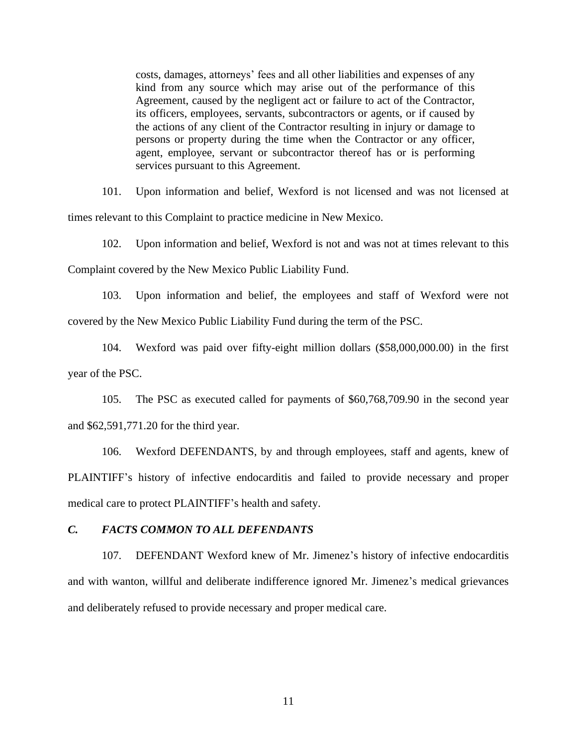costs, damages, attorneys' fees and all other liabilities and expenses of any kind from any source which may arise out of the performance of this Agreement, caused by the negligent act or failure to act of the Contractor, its officers, employees, servants, subcontractors or agents, or if caused by the actions of any client of the Contractor resulting in injury or damage to persons or property during the time when the Contractor or any officer, agent, employee, servant or subcontractor thereof has or is performing services pursuant to this Agreement.

101. Upon information and belief, Wexford is not licensed and was not licensed at times relevant to this Complaint to practice medicine in New Mexico.

102. Upon information and belief, Wexford is not and was not at times relevant to this

Complaint covered by the New Mexico Public Liability Fund.

103. Upon information and belief, the employees and staff of Wexford were not covered by the New Mexico Public Liability Fund during the term of the PSC.

104. Wexford was paid over fifty-eight million dollars (\$58,000,000.00) in the first year of the PSC.

105. The PSC as executed called for payments of \$60,768,709.90 in the second year and \$62,591,771.20 for the third year.

106. Wexford DEFENDANTS, by and through employees, staff and agents, knew of PLAINTIFF's history of infective endocarditis and failed to provide necessary and proper medical care to protect PLAINTIFF's health and safety.

### *C. FACTS COMMON TO ALL DEFENDANTS*

107. DEFENDANT Wexford knew of Mr. Jimenez's history of infective endocarditis and with wanton, willful and deliberate indifference ignored Mr. Jimenez's medical grievances and deliberately refused to provide necessary and proper medical care.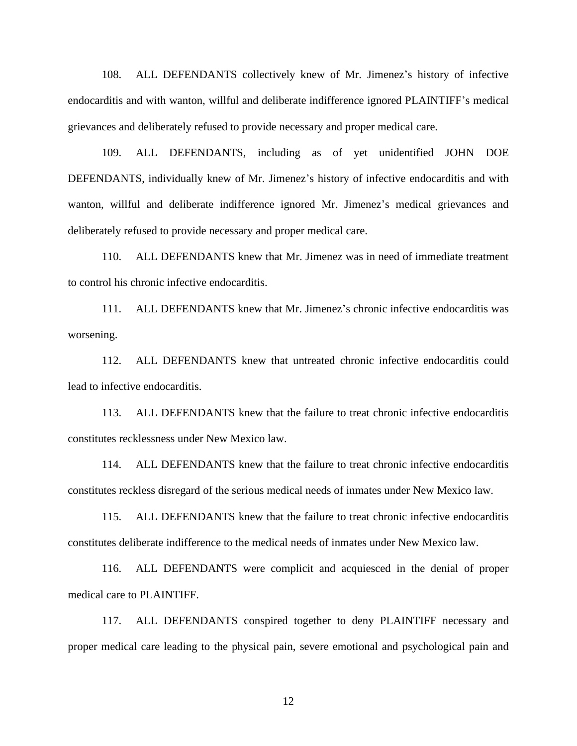108. ALL DEFENDANTS collectively knew of Mr. Jimenez's history of infective endocarditis and with wanton, willful and deliberate indifference ignored PLAINTIFF's medical grievances and deliberately refused to provide necessary and proper medical care.

109. ALL DEFENDANTS, including as of yet unidentified JOHN DOE DEFENDANTS, individually knew of Mr. Jimenez's history of infective endocarditis and with wanton, willful and deliberate indifference ignored Mr. Jimenez's medical grievances and deliberately refused to provide necessary and proper medical care.

110. ALL DEFENDANTS knew that Mr. Jimenez was in need of immediate treatment to control his chronic infective endocarditis.

111. ALL DEFENDANTS knew that Mr. Jimenez's chronic infective endocarditis was worsening.

112. ALL DEFENDANTS knew that untreated chronic infective endocarditis could lead to infective endocarditis.

113. ALL DEFENDANTS knew that the failure to treat chronic infective endocarditis constitutes recklessness under New Mexico law.

114. ALL DEFENDANTS knew that the failure to treat chronic infective endocarditis constitutes reckless disregard of the serious medical needs of inmates under New Mexico law.

115. ALL DEFENDANTS knew that the failure to treat chronic infective endocarditis constitutes deliberate indifference to the medical needs of inmates under New Mexico law.

116. ALL DEFENDANTS were complicit and acquiesced in the denial of proper medical care to PLAINTIFF.

117. ALL DEFENDANTS conspired together to deny PLAINTIFF necessary and proper medical care leading to the physical pain, severe emotional and psychological pain and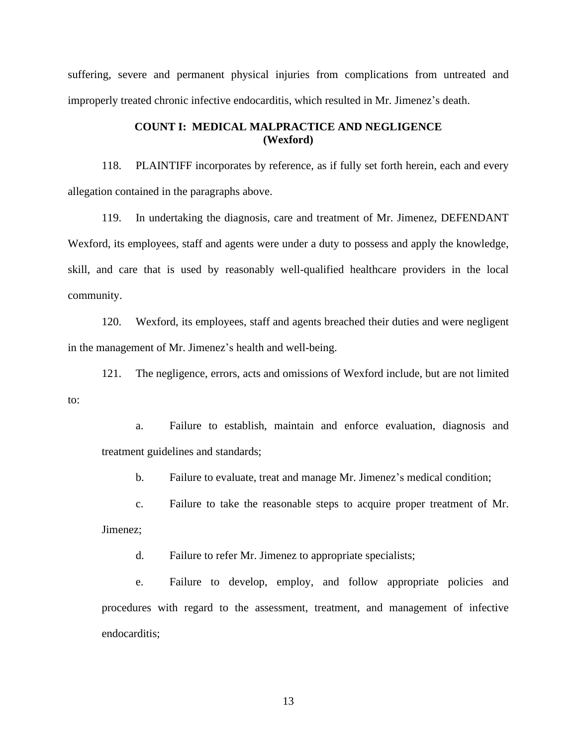suffering, severe and permanent physical injuries from complications from untreated and improperly treated chronic infective endocarditis, which resulted in Mr. Jimenez's death.

# **COUNT I: MEDICAL MALPRACTICE AND NEGLIGENCE (Wexford)**

118. PLAINTIFF incorporates by reference, as if fully set forth herein, each and every allegation contained in the paragraphs above.

119. In undertaking the diagnosis, care and treatment of Mr. Jimenez, DEFENDANT Wexford, its employees, staff and agents were under a duty to possess and apply the knowledge, skill, and care that is used by reasonably well-qualified healthcare providers in the local community.

120. Wexford, its employees, staff and agents breached their duties and were negligent in the management of Mr. Jimenez's health and well-being.

121. The negligence, errors, acts and omissions of Wexford include, but are not limited to:

a. Failure to establish, maintain and enforce evaluation, diagnosis and treatment guidelines and standards;

b. Failure to evaluate, treat and manage Mr. Jimenez's medical condition;

c. Failure to take the reasonable steps to acquire proper treatment of Mr.

Jimenez;

d. Failure to refer Mr. Jimenez to appropriate specialists;

e. Failure to develop, employ, and follow appropriate policies and procedures with regard to the assessment, treatment, and management of infective endocarditis;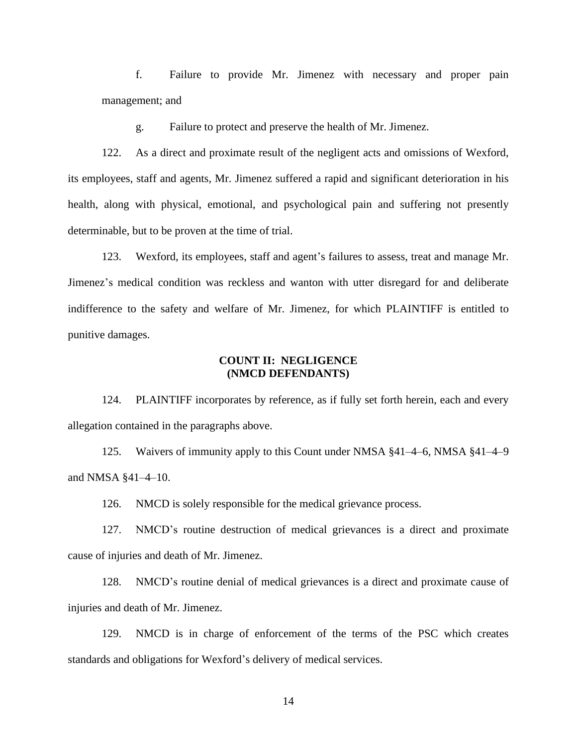f. Failure to provide Mr. Jimenez with necessary and proper pain management; and

g. Failure to protect and preserve the health of Mr. Jimenez.

122. As a direct and proximate result of the negligent acts and omissions of Wexford, its employees, staff and agents, Mr. Jimenez suffered a rapid and significant deterioration in his health, along with physical, emotional, and psychological pain and suffering not presently determinable, but to be proven at the time of trial.

123. Wexford, its employees, staff and agent's failures to assess, treat and manage Mr. Jimenez's medical condition was reckless and wanton with utter disregard for and deliberate indifference to the safety and welfare of Mr. Jimenez, for which PLAINTIFF is entitled to punitive damages.

### **COUNT II: NEGLIGENCE (NMCD DEFENDANTS)**

124. PLAINTIFF incorporates by reference, as if fully set forth herein, each and every allegation contained in the paragraphs above.

125. Waivers of immunity apply to this Count under NMSA §41–4–6, NMSA §41–4–9 and NMSA §41–4–10.

126. NMCD is solely responsible for the medical grievance process.

127. NMCD's routine destruction of medical grievances is a direct and proximate cause of injuries and death of Mr. Jimenez.

128. NMCD's routine denial of medical grievances is a direct and proximate cause of injuries and death of Mr. Jimenez.

129. NMCD is in charge of enforcement of the terms of the PSC which creates standards and obligations for Wexford's delivery of medical services.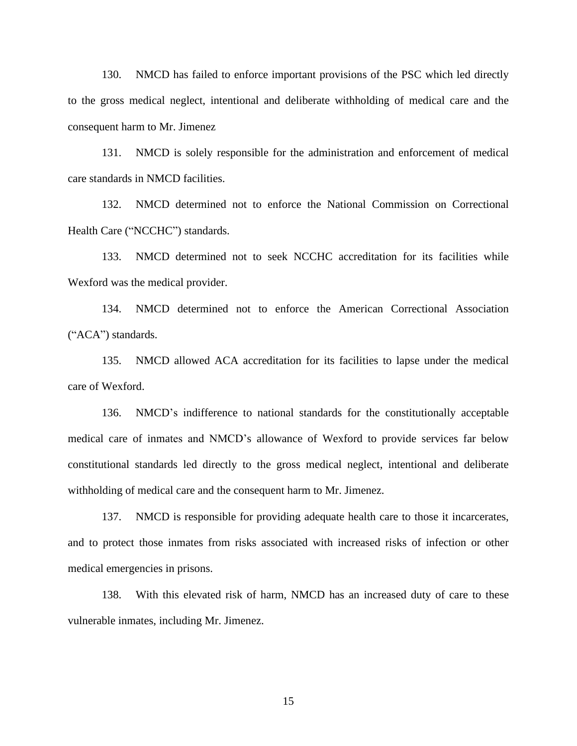130. NMCD has failed to enforce important provisions of the PSC which led directly to the gross medical neglect, intentional and deliberate withholding of medical care and the consequent harm to Mr. Jimenez

131. NMCD is solely responsible for the administration and enforcement of medical care standards in NMCD facilities.

132. NMCD determined not to enforce the National Commission on Correctional Health Care ("NCCHC") standards.

133. NMCD determined not to seek NCCHC accreditation for its facilities while Wexford was the medical provider.

134. NMCD determined not to enforce the American Correctional Association ("ACA") standards.

135. NMCD allowed ACA accreditation for its facilities to lapse under the medical care of Wexford.

136. NMCD's indifference to national standards for the constitutionally acceptable medical care of inmates and NMCD's allowance of Wexford to provide services far below constitutional standards led directly to the gross medical neglect, intentional and deliberate withholding of medical care and the consequent harm to Mr. Jimenez.

137. NMCD is responsible for providing adequate health care to those it incarcerates, and to protect those inmates from risks associated with increased risks of infection or other medical emergencies in prisons.

138. With this elevated risk of harm, NMCD has an increased duty of care to these vulnerable inmates, including Mr. Jimenez.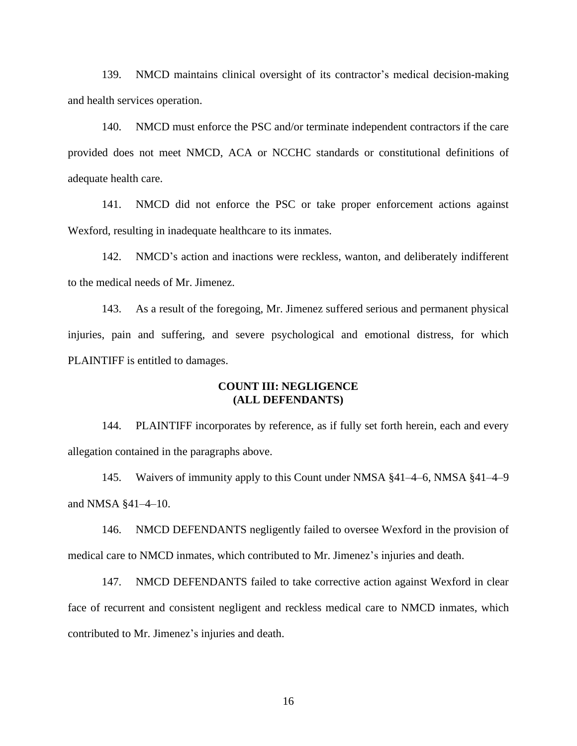139. NMCD maintains clinical oversight of its contractor's medical decision-making and health services operation.

140. NMCD must enforce the PSC and/or terminate independent contractors if the care provided does not meet NMCD, ACA or NCCHC standards or constitutional definitions of adequate health care.

141. NMCD did not enforce the PSC or take proper enforcement actions against Wexford, resulting in inadequate healthcare to its inmates.

142. NMCD's action and inactions were reckless, wanton, and deliberately indifferent to the medical needs of Mr. Jimenez.

143. As a result of the foregoing, Mr. Jimenez suffered serious and permanent physical injuries, pain and suffering, and severe psychological and emotional distress, for which PLAINTIFF is entitled to damages.

#### **COUNT III: NEGLIGENCE (ALL DEFENDANTS)**

144. PLAINTIFF incorporates by reference, as if fully set forth herein, each and every allegation contained in the paragraphs above.

145. Waivers of immunity apply to this Count under NMSA §41–4–6, NMSA §41–4–9 and NMSA §41–4–10.

146. NMCD DEFENDANTS negligently failed to oversee Wexford in the provision of medical care to NMCD inmates, which contributed to Mr. Jimenez's injuries and death.

147. NMCD DEFENDANTS failed to take corrective action against Wexford in clear face of recurrent and consistent negligent and reckless medical care to NMCD inmates, which contributed to Mr. Jimenez's injuries and death.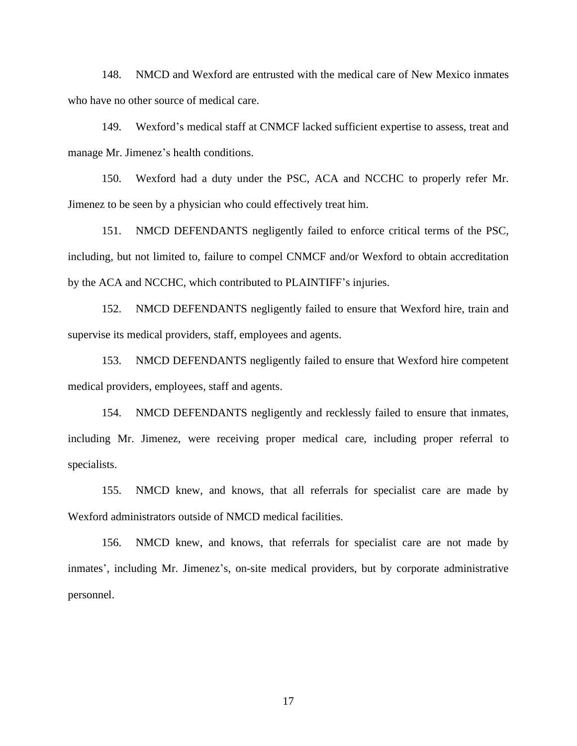148. NMCD and Wexford are entrusted with the medical care of New Mexico inmates who have no other source of medical care.

149. Wexford's medical staff at CNMCF lacked sufficient expertise to assess, treat and manage Mr. Jimenez's health conditions.

150. Wexford had a duty under the PSC, ACA and NCCHC to properly refer Mr. Jimenez to be seen by a physician who could effectively treat him.

151. NMCD DEFENDANTS negligently failed to enforce critical terms of the PSC, including, but not limited to, failure to compel CNMCF and/or Wexford to obtain accreditation by the ACA and NCCHC, which contributed to PLAINTIFF's injuries.

152. NMCD DEFENDANTS negligently failed to ensure that Wexford hire, train and supervise its medical providers, staff, employees and agents.

153. NMCD DEFENDANTS negligently failed to ensure that Wexford hire competent medical providers, employees, staff and agents.

154. NMCD DEFENDANTS negligently and recklessly failed to ensure that inmates, including Mr. Jimenez, were receiving proper medical care, including proper referral to specialists.

155. NMCD knew, and knows, that all referrals for specialist care are made by Wexford administrators outside of NMCD medical facilities.

156. NMCD knew, and knows, that referrals for specialist care are not made by inmates', including Mr. Jimenez's, on-site medical providers, but by corporate administrative personnel.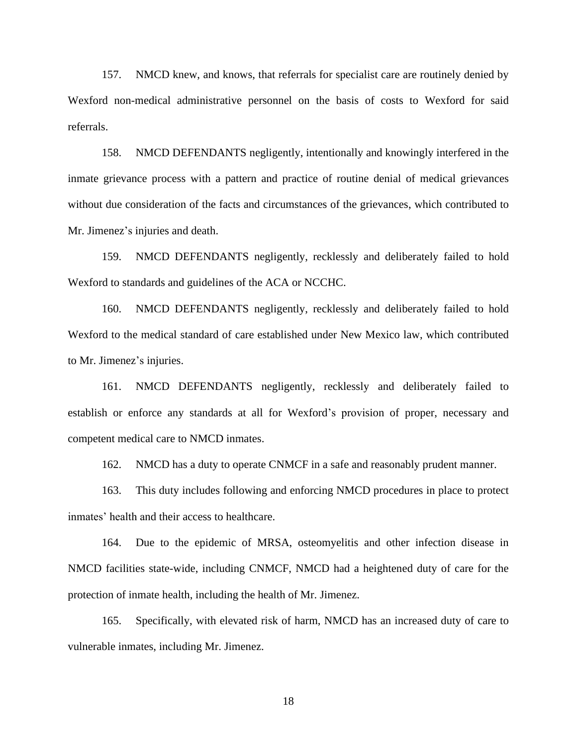157. NMCD knew, and knows, that referrals for specialist care are routinely denied by Wexford non-medical administrative personnel on the basis of costs to Wexford for said referrals.

158. NMCD DEFENDANTS negligently, intentionally and knowingly interfered in the inmate grievance process with a pattern and practice of routine denial of medical grievances without due consideration of the facts and circumstances of the grievances, which contributed to Mr. Jimenez's injuries and death.

159. NMCD DEFENDANTS negligently, recklessly and deliberately failed to hold Wexford to standards and guidelines of the ACA or NCCHC.

160. NMCD DEFENDANTS negligently, recklessly and deliberately failed to hold Wexford to the medical standard of care established under New Mexico law, which contributed to Mr. Jimenez's injuries.

161. NMCD DEFENDANTS negligently, recklessly and deliberately failed to establish or enforce any standards at all for Wexford's provision of proper, necessary and competent medical care to NMCD inmates.

162. NMCD has a duty to operate CNMCF in a safe and reasonably prudent manner.

163. This duty includes following and enforcing NMCD procedures in place to protect inmates' health and their access to healthcare.

164. Due to the epidemic of MRSA, osteomyelitis and other infection disease in NMCD facilities state-wide, including CNMCF, NMCD had a heightened duty of care for the protection of inmate health, including the health of Mr. Jimenez.

165. Specifically, with elevated risk of harm, NMCD has an increased duty of care to vulnerable inmates, including Mr. Jimenez.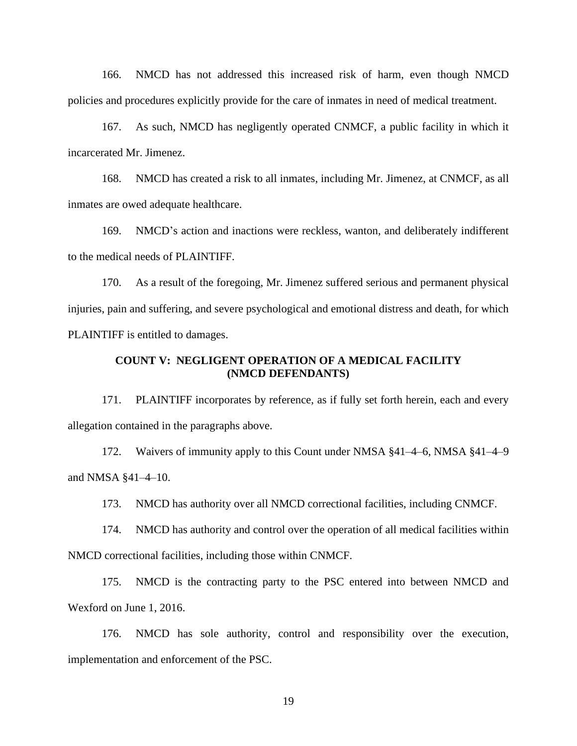166. NMCD has not addressed this increased risk of harm, even though NMCD policies and procedures explicitly provide for the care of inmates in need of medical treatment.

167. As such, NMCD has negligently operated CNMCF, a public facility in which it incarcerated Mr. Jimenez.

168. NMCD has created a risk to all inmates, including Mr. Jimenez, at CNMCF, as all inmates are owed adequate healthcare.

169. NMCD's action and inactions were reckless, wanton, and deliberately indifferent to the medical needs of PLAINTIFF.

170. As a result of the foregoing, Mr. Jimenez suffered serious and permanent physical injuries, pain and suffering, and severe psychological and emotional distress and death, for which PLAINTIFF is entitled to damages.

### **COUNT V: NEGLIGENT OPERATION OF A MEDICAL FACILITY (NMCD DEFENDANTS)**

171. PLAINTIFF incorporates by reference, as if fully set forth herein, each and every allegation contained in the paragraphs above.

172. Waivers of immunity apply to this Count under NMSA §41–4–6, NMSA §41–4–9 and NMSA §41–4–10.

173. NMCD has authority over all NMCD correctional facilities, including CNMCF.

174. NMCD has authority and control over the operation of all medical facilities within NMCD correctional facilities, including those within CNMCF.

175. NMCD is the contracting party to the PSC entered into between NMCD and Wexford on June 1, 2016.

176. NMCD has sole authority, control and responsibility over the execution, implementation and enforcement of the PSC.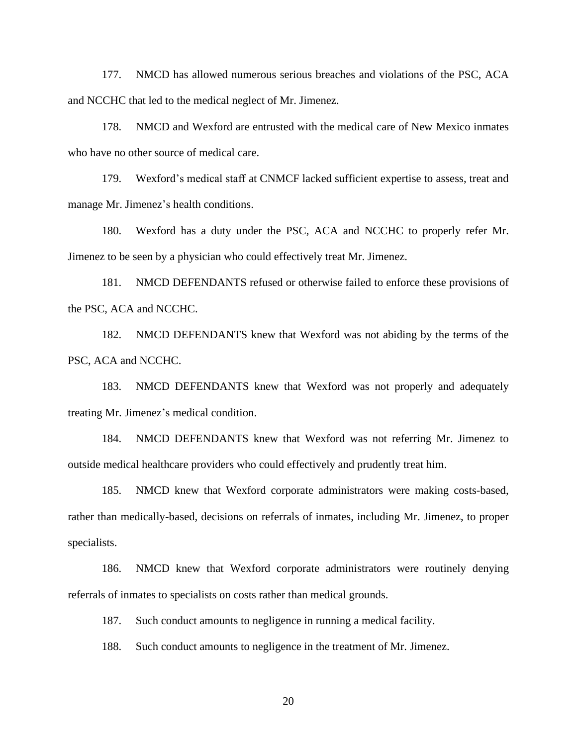177. NMCD has allowed numerous serious breaches and violations of the PSC, ACA and NCCHC that led to the medical neglect of Mr. Jimenez.

178. NMCD and Wexford are entrusted with the medical care of New Mexico inmates who have no other source of medical care.

179. Wexford's medical staff at CNMCF lacked sufficient expertise to assess, treat and manage Mr. Jimenez's health conditions.

180. Wexford has a duty under the PSC, ACA and NCCHC to properly refer Mr. Jimenez to be seen by a physician who could effectively treat Mr. Jimenez.

181. NMCD DEFENDANTS refused or otherwise failed to enforce these provisions of the PSC, ACA and NCCHC.

182. NMCD DEFENDANTS knew that Wexford was not abiding by the terms of the PSC, ACA and NCCHC.

183. NMCD DEFENDANTS knew that Wexford was not properly and adequately treating Mr. Jimenez's medical condition.

184. NMCD DEFENDANTS knew that Wexford was not referring Mr. Jimenez to outside medical healthcare providers who could effectively and prudently treat him.

185. NMCD knew that Wexford corporate administrators were making costs-based, rather than medically-based, decisions on referrals of inmates, including Mr. Jimenez, to proper specialists.

186. NMCD knew that Wexford corporate administrators were routinely denying referrals of inmates to specialists on costs rather than medical grounds.

187. Such conduct amounts to negligence in running a medical facility.

188. Such conduct amounts to negligence in the treatment of Mr. Jimenez.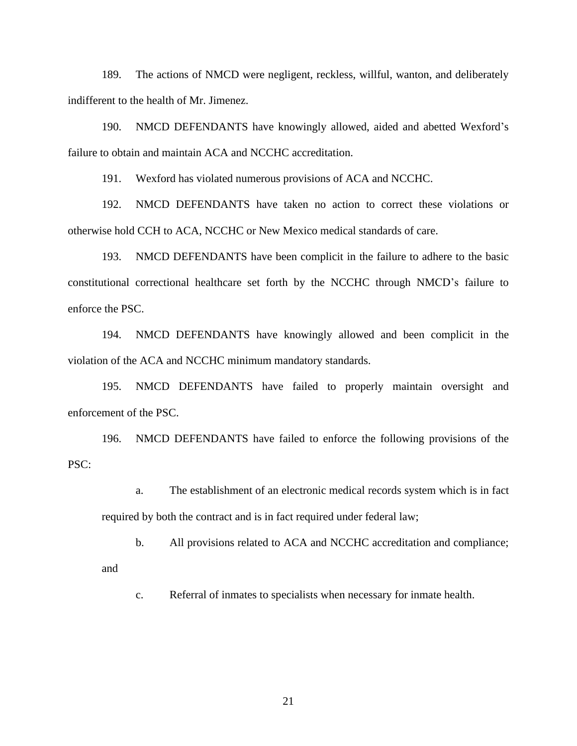189. The actions of NMCD were negligent, reckless, willful, wanton, and deliberately indifferent to the health of Mr. Jimenez.

190. NMCD DEFENDANTS have knowingly allowed, aided and abetted Wexford's failure to obtain and maintain ACA and NCCHC accreditation.

191. Wexford has violated numerous provisions of ACA and NCCHC.

192. NMCD DEFENDANTS have taken no action to correct these violations or otherwise hold CCH to ACA, NCCHC or New Mexico medical standards of care.

193. NMCD DEFENDANTS have been complicit in the failure to adhere to the basic constitutional correctional healthcare set forth by the NCCHC through NMCD's failure to enforce the PSC.

194. NMCD DEFENDANTS have knowingly allowed and been complicit in the violation of the ACA and NCCHC minimum mandatory standards.

195. NMCD DEFENDANTS have failed to properly maintain oversight and enforcement of the PSC.

196. NMCD DEFENDANTS have failed to enforce the following provisions of the PSC:

a. The establishment of an electronic medical records system which is in fact required by both the contract and is in fact required under federal law;

b. All provisions related to ACA and NCCHC accreditation and compliance; and

c. Referral of inmates to specialists when necessary for inmate health.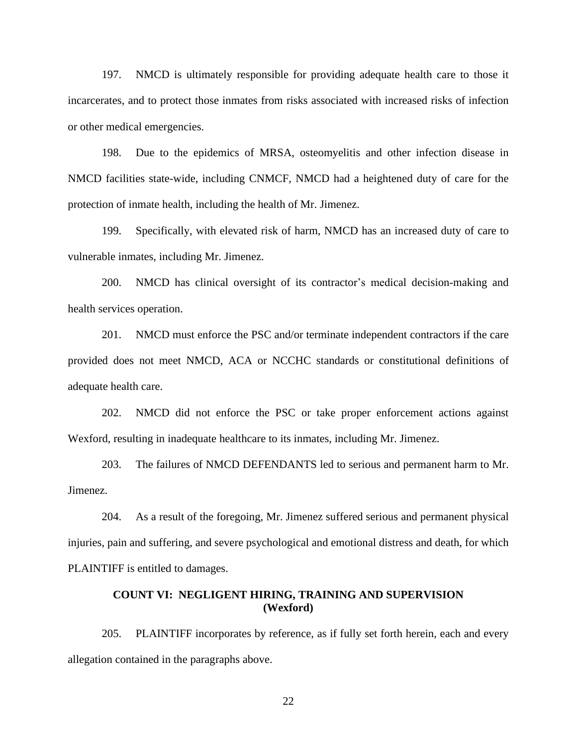197. NMCD is ultimately responsible for providing adequate health care to those it incarcerates, and to protect those inmates from risks associated with increased risks of infection or other medical emergencies.

198. Due to the epidemics of MRSA, osteomyelitis and other infection disease in NMCD facilities state-wide, including CNMCF, NMCD had a heightened duty of care for the protection of inmate health, including the health of Mr. Jimenez.

199. Specifically, with elevated risk of harm, NMCD has an increased duty of care to vulnerable inmates, including Mr. Jimenez.

200. NMCD has clinical oversight of its contractor's medical decision-making and health services operation.

201. NMCD must enforce the PSC and/or terminate independent contractors if the care provided does not meet NMCD, ACA or NCCHC standards or constitutional definitions of adequate health care.

202. NMCD did not enforce the PSC or take proper enforcement actions against Wexford, resulting in inadequate healthcare to its inmates, including Mr. Jimenez.

203. The failures of NMCD DEFENDANTS led to serious and permanent harm to Mr. Jimenez.

204. As a result of the foregoing, Mr. Jimenez suffered serious and permanent physical injuries, pain and suffering, and severe psychological and emotional distress and death, for which PLAINTIFF is entitled to damages.

# **COUNT VI: NEGLIGENT HIRING, TRAINING AND SUPERVISION (Wexford)**

205. PLAINTIFF incorporates by reference, as if fully set forth herein, each and every allegation contained in the paragraphs above.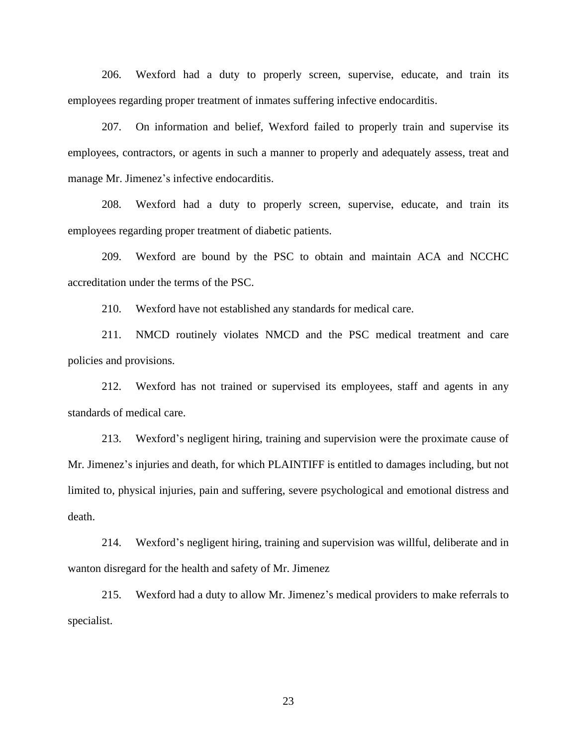206. Wexford had a duty to properly screen, supervise, educate, and train its employees regarding proper treatment of inmates suffering infective endocarditis.

207. On information and belief, Wexford failed to properly train and supervise its employees, contractors, or agents in such a manner to properly and adequately assess, treat and manage Mr. Jimenez's infective endocarditis.

208. Wexford had a duty to properly screen, supervise, educate, and train its employees regarding proper treatment of diabetic patients.

209. Wexford are bound by the PSC to obtain and maintain ACA and NCCHC accreditation under the terms of the PSC.

210. Wexford have not established any standards for medical care.

211. NMCD routinely violates NMCD and the PSC medical treatment and care policies and provisions.

212. Wexford has not trained or supervised its employees, staff and agents in any standards of medical care.

213. Wexford's negligent hiring, training and supervision were the proximate cause of Mr. Jimenez's injuries and death, for which PLAINTIFF is entitled to damages including, but not limited to, physical injuries, pain and suffering, severe psychological and emotional distress and death.

214. Wexford's negligent hiring, training and supervision was willful, deliberate and in wanton disregard for the health and safety of Mr. Jimenez

215. Wexford had a duty to allow Mr. Jimenez's medical providers to make referrals to specialist.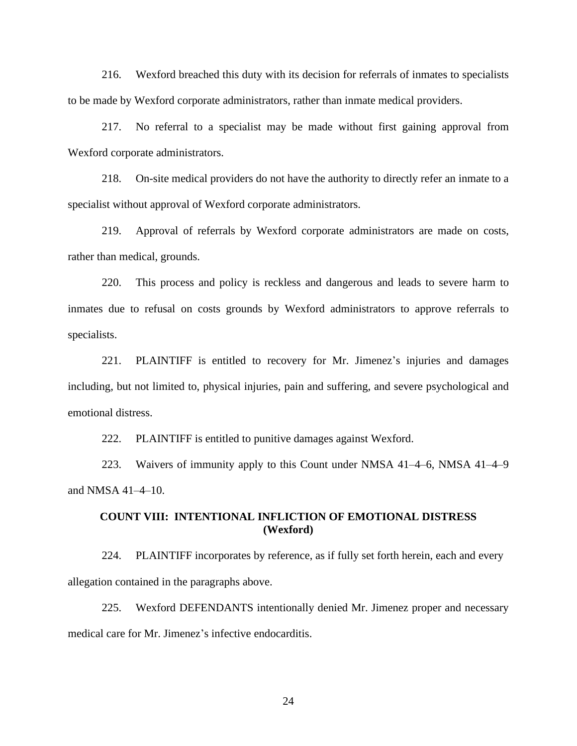216. Wexford breached this duty with its decision for referrals of inmates to specialists to be made by Wexford corporate administrators, rather than inmate medical providers.

217. No referral to a specialist may be made without first gaining approval from Wexford corporate administrators.

218. On-site medical providers do not have the authority to directly refer an inmate to a specialist without approval of Wexford corporate administrators.

219. Approval of referrals by Wexford corporate administrators are made on costs, rather than medical, grounds.

220. This process and policy is reckless and dangerous and leads to severe harm to inmates due to refusal on costs grounds by Wexford administrators to approve referrals to specialists.

221. PLAINTIFF is entitled to recovery for Mr. Jimenez's injuries and damages including, but not limited to, physical injuries, pain and suffering, and severe psychological and emotional distress.

222. PLAINTIFF is entitled to punitive damages against Wexford.

223. Waivers of immunity apply to this Count under NMSA 41–4–6, NMSA 41–4–9 and NMSA 41–4–10.

# **COUNT VIII: INTENTIONAL INFLICTION OF EMOTIONAL DISTRESS (Wexford)**

224. PLAINTIFF incorporates by reference, as if fully set forth herein, each and every allegation contained in the paragraphs above.

225. Wexford DEFENDANTS intentionally denied Mr. Jimenez proper and necessary medical care for Mr. Jimenez's infective endocarditis.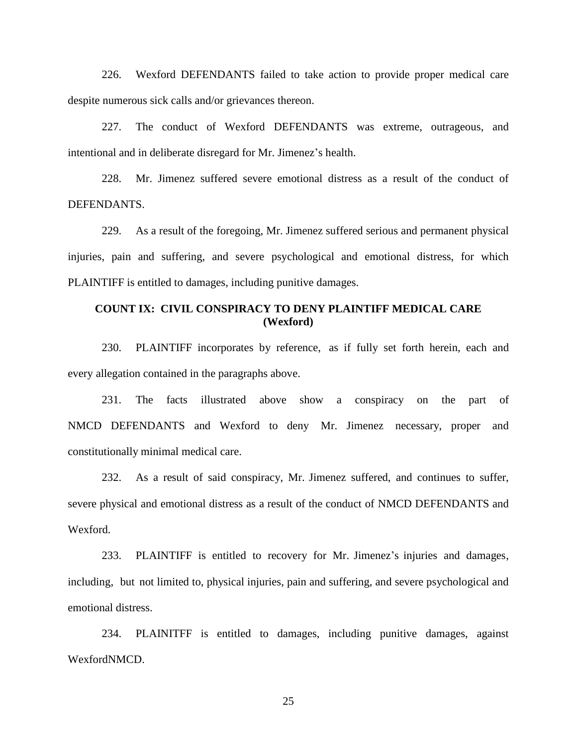226. Wexford DEFENDANTS failed to take action to provide proper medical care despite numerous sick calls and/or grievances thereon.

227. The conduct of Wexford DEFENDANTS was extreme, outrageous, and intentional and in deliberate disregard for Mr. Jimenez's health.

228. Mr. Jimenez suffered severe emotional distress as a result of the conduct of DEFENDANTS.

229. As a result of the foregoing, Mr. Jimenez suffered serious and permanent physical injuries, pain and suffering, and severe psychological and emotional distress, for which PLAINTIFF is entitled to damages, including punitive damages.

# **COUNT IX: CIVIL CONSPIRACY TO DENY PLAINTIFF MEDICAL CARE (Wexford)**

230. PLAINTIFF incorporates by reference, as if fully set forth herein, each and every allegation contained in the paragraphs above.

231. The facts illustrated above show a conspiracy on the part of NMCD DEFENDANTS and Wexford to deny Mr. Jimenez necessary, proper and constitutionally minimal medical care.

232. As a result of said conspiracy, Mr. Jimenez suffered, and continues to suffer, severe physical and emotional distress as a result of the conduct of NMCD DEFENDANTS and Wexford.

233. PLAINTIFF is entitled to recovery for Mr. Jimenez's injuries and damages, including, but not limited to, physical injuries, pain and suffering, and severe psychological and emotional distress.

234. PLAINITFF is entitled to damages, including punitive damages, against WexfordNMCD.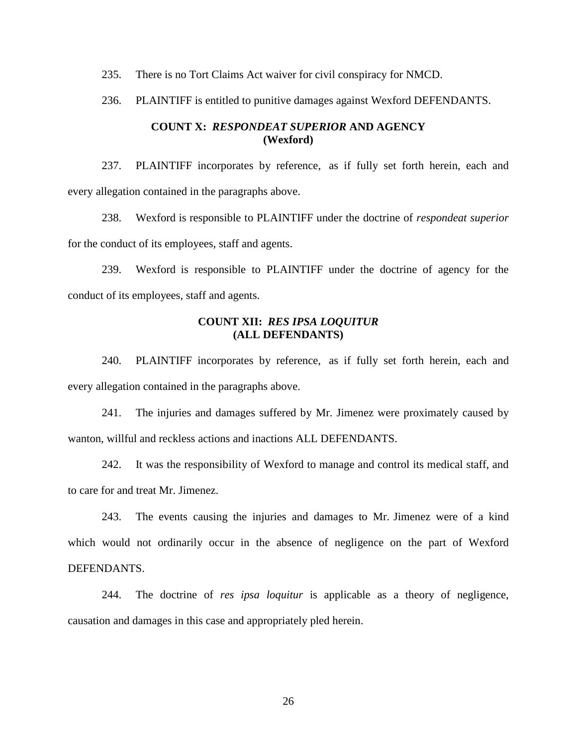235. There is no Tort Claims Act waiver for civil conspiracy for NMCD.

236. PLAINTIFF is entitled to punitive damages against Wexford DEFENDANTS.

# **COUNT X:** *RESPONDEAT SUPERIOR* **AND AGENCY (Wexford)**

237. PLAINTIFF incorporates by reference, as if fully set forth herein, each and every allegation contained in the paragraphs above.

238. Wexford is responsible to PLAINTIFF under the doctrine of *respondeat superior* for the conduct of its employees, staff and agents.

239. Wexford is responsible to PLAINTIFF under the doctrine of agency for the conduct of its employees, staff and agents.

# **COUNT XII:** *RES IPSA LOQUITUR* **(ALL DEFENDANTS)**

240. PLAINTIFF incorporates by reference, as if fully set forth herein, each and every allegation contained in the paragraphs above.

241. The injuries and damages suffered by Mr. Jimenez were proximately caused by wanton, willful and reckless actions and inactions ALL DEFENDANTS.

242. It was the responsibility of Wexford to manage and control its medical staff, and to care for and treat Mr. Jimenez.

243. The events causing the injuries and damages to Mr. Jimenez were of a kind which would not ordinarily occur in the absence of negligence on the part of Wexford DEFENDANTS.

244. The doctrine of *res ipsa loquitur* is applicable as a theory of negligence, causation and damages in this case and appropriately pled herein.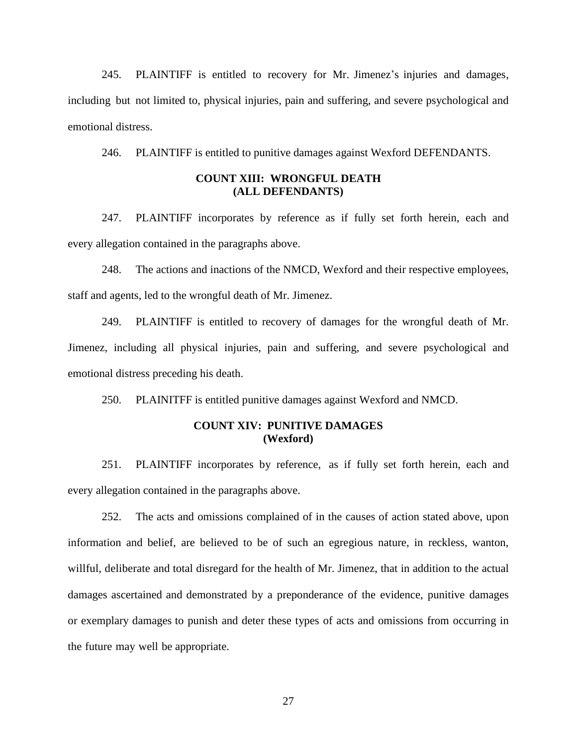245. PLAINTIFF is entitled to recovery for Mr. Jimenez's injuries and damages, including but not limited to, physical injuries, pain and suffering, and severe psychological and emotional distress.

246. PLAINTIFF is entitled to punitive damages against Wexford DEFENDANTS.

## **COUNT XIII: WRONGFUL DEATH (ALL DEFENDANTS)**

247. PLAINTIFF incorporates by reference as if fully set forth herein, each and every allegation contained in the paragraphs above.

248. The actions and inactions of the NMCD, Wexford and their respective employees, staff and agents, led to the wrongful death of Mr. Jimenez.

249. PLAINTIFF is entitled to recovery of damages for the wrongful death of Mr. Jimenez, including all physical injuries, pain and suffering, and severe psychological and emotional distress preceding his death.

250. PLAINITFF is entitled punitive damages against Wexford and NMCD.

# **COUNT XIV: PUNITIVE DAMAGES (Wexford)**

251. PLAINTIFF incorporates by reference, as if fully set forth herein, each and every allegation contained in the paragraphs above.

252. The acts and omissions complained of in the causes of action stated above, upon information and belief, are believed to be of such an egregious nature, in reckless, wanton, willful, deliberate and total disregard for the health of Mr. Jimenez, that in addition to the actual damages ascertained and demonstrated by a preponderance of the evidence, punitive damages or exemplary damages to punish and deter these types of acts and omissions from occurring in the future may well be appropriate.